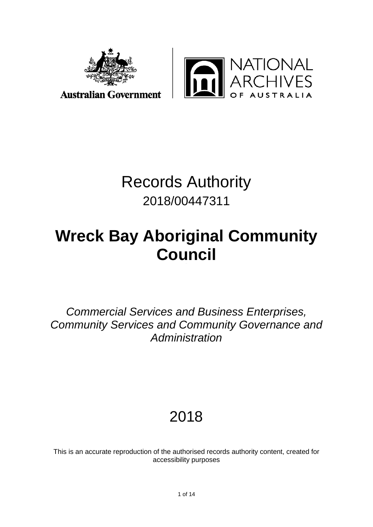

**Australian Government** 



# Records Authority 2018/00447311

# **Wreck Bay Aboriginal Community Council**

*Commercial Services and Business Enterprises, Community Services and Community Governance and Administration*

## 2018

This is an accurate reproduction of the authorised records authority content, created for accessibility purposes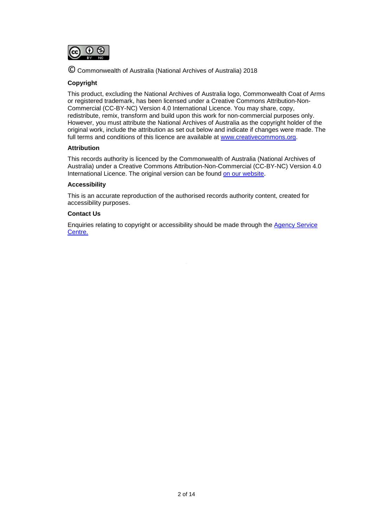

© Commonwealth of Australia (National Archives of Australia) 2018

### **Copyright**

This product, excluding the National Archives of Australia logo, Commonwealth Coat of Arms or registered trademark, has been licensed under a Creative Commons Attribution-Non-Commercial (CC-BY-NC) Version 4.0 International Licence. You may share, copy, redistribute, remix, transform and build upon this work for non-commercial purposes only. However, you must attribute the National Archives of Australia as the copyright holder of the original work, include the attribution as set out below and indicate if changes were made. The full terms and conditions of this licence are available at [www.creativecommons.org.](http://www.creativecommons.org/)

#### **Attribution**

This records authority is licenced by the Commonwealth of Australia (National Archives of Australia) under a Creative Commons Attribution-Non-Commercial (CC-BY-NC) Version 4.0 International Licence. The original version can be found [on our website.](http://www.naa.gov.au/)

#### **Accessibility**

This is an accurate reproduction of the authorised records authority content, created for accessibility purposes.

#### **Contact Us**

Enquiries relating to copyright or accessibility should be made through the [Agency Service](http://reftracker.naa.gov.au/reft000.aspx?pmi=jpGkKEm4vT)  [Centre.](http://reftracker.naa.gov.au/reft000.aspx?pmi=jpGkKEm4vT)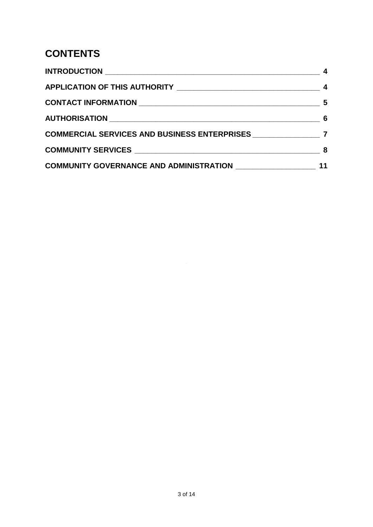### **CONTENTS**

| COMMUNITY GOVERNANCE AND ADMINISTRATION ___________________ | 11 |
|-------------------------------------------------------------|----|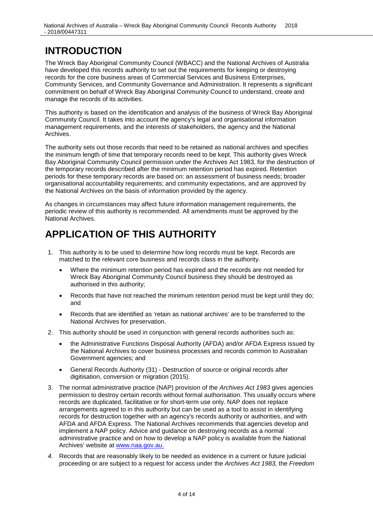### <span id="page-3-0"></span>**INTRODUCTION**

The Wreck Bay Aboriginal Community Council (WBACC) and the National Archives of Australia have developed this records authority to set out the requirements for keeping or destroying records for the core business areas of Commercial Services and Business Enterprises, Community Services, and Community Governance and Administration. It represents a significant commitment on behalf of Wreck Bay Aboriginal Community Council to understand, create and manage the records of its activities.

This authority is based on the identification and analysis of the business of Wreck Bay Aboriginal Community Council. It takes into account the agency's legal and organisational information management requirements, and the interests of stakeholders, the agency and the National Archives.

The authority sets out those records that need to be retained as national archives and specifies the minimum length of time that temporary records need to be kept. This authority gives Wreck Bay Aboriginal Community Council permission under the Archives Act 1983, for the destruction of the temporary records described after the minimum retention period has expired. Retention periods for these temporary records are based on: an assessment of business needs; broader organisational accountability requirements; and community expectations, and are approved by the National Archives on the basis of information provided by the agency.

As changes in circumstances may affect future information management requirements, the periodic review of this authority is recommended. All amendments must be approved by the National Archives.

### <span id="page-3-1"></span>**APPLICATION OF THIS AUTHORITY**

- 1. This authority is to be used to determine how long records must be kept. Records are matched to the relevant core business and records class in the authority.
	- Where the minimum retention period has expired and the records are not needed for Wreck Bay Aboriginal Community Council business they should be destroyed as authorised in this authority;
	- Records that have not reached the minimum retention period must be kept until they do; and
	- Records that are identified as 'retain as national archives' are to be transferred to the National Archives for preservation.
- 2. This authority should be used in conjunction with general records authorities such as:
	- the Administrative Functions Disposal Authority (AFDA) and/or AFDA Express issued by the National Archives to cover business processes and records common to Australian Government agencies; and
	- General Records Authority (31) Destruction of source or original records after digitisation, conversion or migration (2015).
- 3. The normal administrative practice (NAP) provision of the *Archives Act 1983* gives agencies permission to destroy certain records without formal authorisation. This usually occurs where records are duplicated, facilitative or for short-term use only. NAP does not replace arrangements agreed to in this authority but can be used as a tool to assist in identifying records for destruction together with an agency's records authority or authorities, and with AFDA and AFDA Express. The National Archives recommends that agencies develop and implement a NAP policy. Advice and guidance on destroying records as a normal administrative practice and on how to develop a NAP policy is available from the National Archives' website at [www.naa.gov.au.](http://www.naa.gov.au/)
- *4.* Records that are reasonably likely to be needed as evidence in a current or future judicial proceeding or are subject to a request for access under the *Archives Act 1983,* the *Freedom*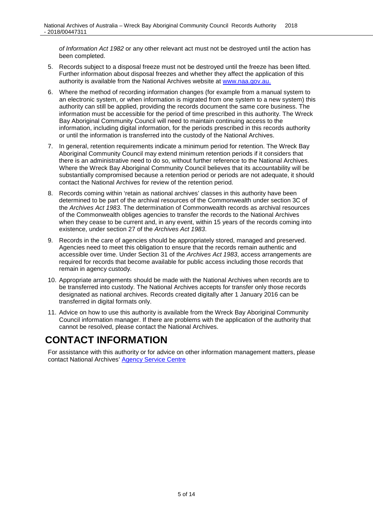*of Information Act 1982* or any other relevant act must not be destroyed until the action has been completed.

- 5. Records subject to a disposal freeze must not be destroyed until the freeze has been lifted. Further information about disposal freezes and whether they affect the application of this authority is available from the National Archives website at [www.naa.gov.au.](http://www.naa.gov.au/)
- 6. Where the method of recording information changes (for example from a manual system to an electronic system, or when information is migrated from one system to a new system) this authority can still be applied, providing the records document the same core business. The information must be accessible for the period of time prescribed in this authority. The Wreck Bay Aboriginal Community Council will need to maintain continuing access to the information, including digital information, for the periods prescribed in this records authority or until the information is transferred into the custody of the National Archives.
- 7. In general, retention requirements indicate a minimum period for retention. The Wreck Bay Aboriginal Community Council may extend minimum retention periods if it considers that there is an administrative need to do so, without further reference to the National Archives. Where the Wreck Bay Aboriginal Community Council believes that its accountability will be substantially compromised because a retention period or periods are not adequate, it should contact the National Archives for review of the retention period.
- 8. Records coming within 'retain as national archives' classes in this authority have been determined to be part of the archival resources of the Commonwealth under section 3C of the *Archives Act 1983*. The determination of Commonwealth records as archival resources of the Commonwealth obliges agencies to transfer the records to the National Archives when they cease to be current and, in any event, within 15 years of the records coming into existence, under section 27 of the *Archives Act 1983*.
- 9. Records in the care of agencies should be appropriately stored, managed and preserved. Agencies need to meet this obligation to ensure that the records remain authentic and accessible over time. Under Section 31 of the *Archives Act 1983*, access arrangements are required for records that become available for public access including those records that remain in agency custody.
- 10. Appropriate arrangements should be made with the National Archives when records are to be transferred into custody. The National Archives accepts for transfer only those records designated as national archives. Records created digitally after 1 January 2016 can be transferred in digital formats only.
- 11. Advice on how to use this authority is available from the Wreck Bay Aboriginal Community Council information manager. If there are problems with the application of the authority that cannot be resolved, please contact the National Archives.

### <span id="page-4-0"></span>**CONTACT INFORMATION**

For assistance with this authority or for advice on other information management matters, please contact National Archives' [Agency Service Centre](http://reftracker.naa.gov.au/reft000.aspx?pmi=jpGkKEm4vT)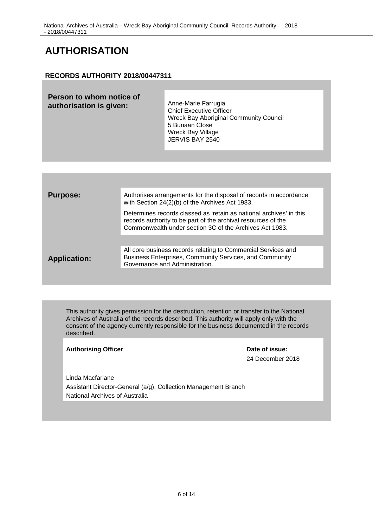### <span id="page-5-0"></span>**AUTHORISATION**

### **RECORDS AUTHORITY 2018/00447311**

| <b>Purpose:</b>     | Authorises arrangements for the disposal of records in accordance<br>with Section 24(2)(b) of the Archives Act 1983.                                                                            |
|---------------------|-------------------------------------------------------------------------------------------------------------------------------------------------------------------------------------------------|
|                     | Determines records classed as 'retain as national archives' in this<br>records authority to be part of the archival resources of the<br>Commonwealth under section 3C of the Archives Act 1983. |
|                     |                                                                                                                                                                                                 |
| <b>Application:</b> | All core business records relating to Commercial Services and<br>Business Enterprises, Community Services, and Community<br>Governance and Administration.                                      |
|                     |                                                                                                                                                                                                 |

This authority gives permission for the destruction, retention or transfer to the National Archives of Australia of the records described. This authority will apply only with the consent of the agency currently responsible for the business documented in the records described.

### Authorising Officer **Date of issue:**

24 December 2018

Linda Macfarlane Assistant Director-General (a/g), Collection Management Branch National Archives of Australia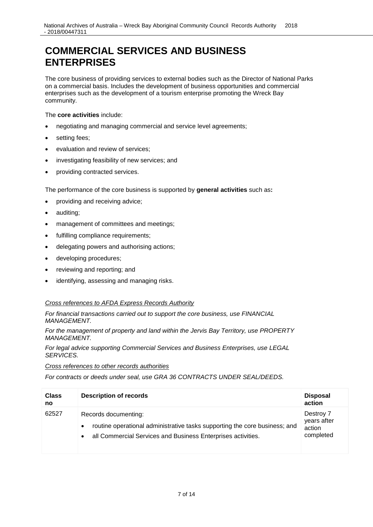### <span id="page-6-0"></span>**COMMERCIAL SERVICES AND BUSINESS ENTERPRISES**

The core business of providing services to external bodies such as the Director of National Parks on a commercial basis. Includes the development of business opportunities and commercial enterprises such as the development of a tourism enterprise promoting the Wreck Bay community.

The **core activities** include:

- negotiating and managing commercial and service level agreements;
- setting fees;
- evaluation and review of services;
- investigating feasibility of new services; and
- providing contracted services.

The performance of the core business is supported by **general activities** such as**:**

- providing and receiving advice;
- auditing;
- management of committees and meetings;
- fulfilling compliance requirements;
- delegating powers and authorising actions;
- developing procedures;
- reviewing and reporting; and
- identifying, assessing and managing risks.

### *Cross references to AFDA Express Records Authority*

*For financial transactions carried out to support the core business, use FINANCIAL MANAGEMENT.*

*For the management of property and land within the Jervis Bay Territory, use PROPERTY MANAGEMENT.*

*For legal advice supporting Commercial Services and Business Enterprises, use LEGAL SERVICES.*

*Cross references to other records authorities*

*For contracts or deeds under seal, use GRA 36 CONTRACTS UNDER SEAL/DEEDS.*

| <b>Class</b><br>no | <b>Description of records</b>                                                                                                                                                                | <b>Disposal</b><br>action                       |
|--------------------|----------------------------------------------------------------------------------------------------------------------------------------------------------------------------------------------|-------------------------------------------------|
| 62527              | Records documenting:<br>routine operational administrative tasks supporting the core business; and<br>$\bullet$<br>all Commercial Services and Business Enterprises activities.<br>$\bullet$ | Destroy 7<br>years after<br>action<br>completed |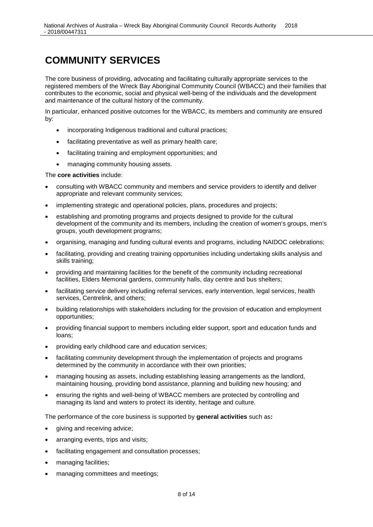### <span id="page-7-0"></span>**COMMUNITY SERVICES**

The core business of providing, advocating and facilitating culturally appropriate services to the registered members of the Wreck Bay Aboriginal Community Council (WBACC) and their families that contributes to the economic, social and physical well-being of the individuals and the development and maintenance of the cultural history of the community.

In particular, enhanced positive outcomes for the WBACC, its members and community are ensured by:

- incorporating Indigenous traditional and cultural practices;
- facilitating preventative as well as primary health care;
- facilitating training and employment opportunities; and
- managing community housing assets.

#### The **core activities** include:

- consulting with WBACC community and members and service providers to identify and deliver appropriate and relevant community services;
- implementing strategic and operational policies, plans, procedures and projects;
- establishing and promoting programs and projects designed to provide for the cultural development of the community and its members, including the creation of women's groups, men's groups, youth development programs;
- organising, managing and funding cultural events and programs, including NAIDOC celebrations;
- facilitating, providing and creating training opportunities including undertaking skills analysis and skills training;
- providing and maintaining facilities for the benefit of the community including recreational facilities, Elders Memorial gardens, community halls, day centre and bus shelters;
- facilitating service delivery including referral services, early intervention, legal services, health services, Centrelink, and others;
- building relationships with stakeholders including for the provision of education and employment opportunities;
- providing financial support to members including elder support, sport and education funds and loans;
- providing early childhood care and education services;
- facilitating community development through the implementation of projects and programs determined by the community in accordance with their own priorities;
- managing housing as assets, including establishing leasing arrangements as the landlord, maintaining housing, providing bond assistance, planning and building new housing; and
- ensuring the rights and well-being of WBACC members are protected by controlling and managing its land and waters to protect its identity, heritage and culture.

The performance of the core business is supported by **general activities** such as**:**

- giving and receiving advice:
- arranging events, trips and visits;
- facilitating engagement and consultation processes;
- managing facilities;
- managing committees and meetings;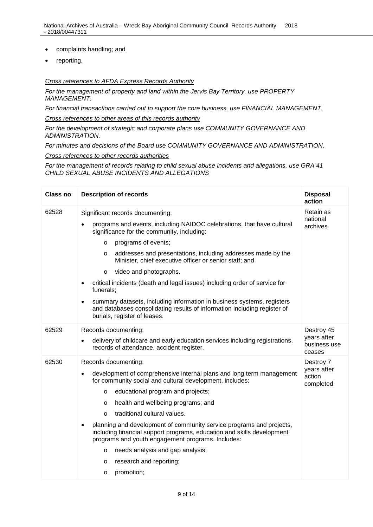- complaints handling; and
- reporting.

#### *Cross references to AFDA Express Records Authority*

*For the management of property and land within the Jervis Bay Territory, use PROPERTY MANAGEMENT.*

*For financial transactions carried out to support the core business, use FINANCIAL MANAGEMENT.*

*Cross references to other areas of this records authority*

*For the development of strategic and corporate plans use COMMUNITY GOVERNANCE AND ADMINISTRATION.*

*For minutes and decisions of the Board use COMMUNITY GOVERNANCE AND ADMINISTRATION.*

*Cross references to other records authorities*

*For the management of records relating to child sexual abuse incidents and allegations, use GRA 41 CHILD SEXUAL ABUSE INCIDENTS AND ALLEGATIONS*

| <b>Class no</b> | <b>Description of records</b>                                                                                                                                                                                                                                                                                                                                                                                                                                                                                                                                                                                                                                           | <b>Disposal</b><br>action                           |
|-----------------|-------------------------------------------------------------------------------------------------------------------------------------------------------------------------------------------------------------------------------------------------------------------------------------------------------------------------------------------------------------------------------------------------------------------------------------------------------------------------------------------------------------------------------------------------------------------------------------------------------------------------------------------------------------------------|-----------------------------------------------------|
| 62528           | Significant records documenting:<br>programs and events, including NAIDOC celebrations, that have cultural<br>significance for the community, including:<br>programs of events;<br>$\circ$<br>addresses and presentations, including addresses made by the<br>$\circ$<br>Minister, chief executive officer or senior staff; and<br>video and photographs.<br>$\circ$<br>critical incidents (death and legal issues) including order of service for<br>٠<br>funerals;<br>summary datasets, including information in business systems, registers<br>$\bullet$<br>and databases consolidating results of information including register of<br>burials, register of leases. | Retain as<br>national<br>archives                   |
| 62529           | Records documenting:<br>delivery of childcare and early education services including registrations,<br>٠<br>records of attendance, accident register.                                                                                                                                                                                                                                                                                                                                                                                                                                                                                                                   | Destroy 45<br>years after<br>business use<br>ceases |
| 62530           | Records documenting:<br>development of comprehensive internal plans and long term management<br>for community social and cultural development, includes:<br>educational program and projects;<br>$\circ$<br>health and wellbeing programs; and<br>$\circ$<br>traditional cultural values.<br>$\Omega$<br>planning and development of community service programs and projects,<br>$\bullet$<br>including financial support programs, education and skills development<br>programs and youth engagement programs. Includes:<br>needs analysis and gap analysis;<br>$\circ$<br>research and reporting;<br>O<br>promotion;<br>O                                             | Destroy 7<br>years after<br>action<br>completed     |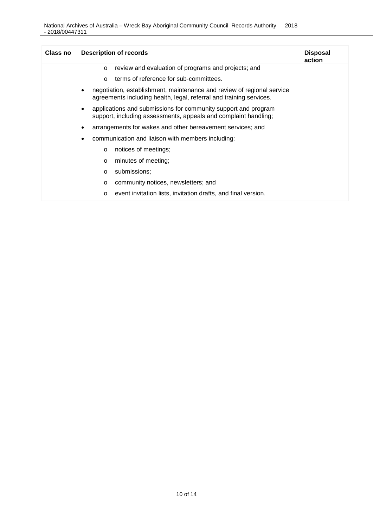| Class no | <b>Description of records</b>                                                                                                                 | <b>Disposal</b><br>action |
|----------|-----------------------------------------------------------------------------------------------------------------------------------------------|---------------------------|
|          | review and evaluation of programs and projects; and<br>$\circ$                                                                                |                           |
|          | terms of reference for sub-committees.<br>$\Omega$                                                                                            |                           |
|          | negotiation, establishment, maintenance and review of regional service<br>agreements including health, legal, referral and training services. |                           |
|          | applications and submissions for community support and program<br>٠<br>support, including assessments, appeals and complaint handling;        |                           |
|          | arrangements for wakes and other bereavement services; and<br>٠                                                                               |                           |
|          | communication and liaison with members including:                                                                                             |                           |
|          | notices of meetings;<br>$\circ$                                                                                                               |                           |
|          | minutes of meeting;<br>$\circ$                                                                                                                |                           |
|          | submissions:<br>$\circ$                                                                                                                       |                           |
|          | community notices, newsletters; and<br>$\circ$                                                                                                |                           |
|          | event invitation lists, invitation drafts, and final version.<br>$\circ$                                                                      |                           |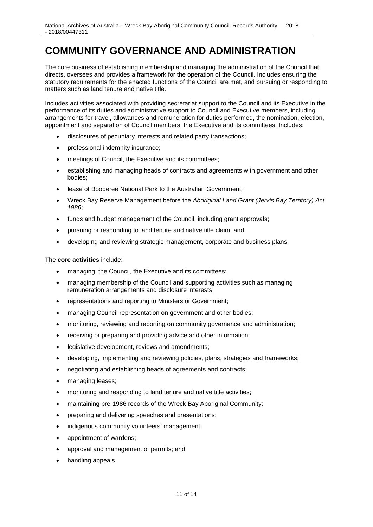### <span id="page-10-0"></span>**COMMUNITY GOVERNANCE AND ADMINISTRATION**

The core business of establishing membership and managing the administration of the Council that directs, oversees and provides a framework for the operation of the Council. Includes ensuring the statutory requirements for the enacted functions of the Council are met, and pursuing or responding to matters such as land tenure and native title.

Includes activities associated with providing secretariat support to the Council and its Executive in the performance of its duties and administrative support to Council and Executive members, including arrangements for travel, allowances and remuneration for duties performed, the nomination, election, appointment and separation of Council members, the Executive and its committees. Includes:

- disclosures of pecuniary interests and related party transactions;
- professional indemnity insurance;
- meetings of Council, the Executive and its committees;
- establishing and managing heads of contracts and agreements with government and other bodies;
- lease of Booderee National Park to the Australian Government;
- Wreck Bay Reserve Management before the *Aboriginal Land Grant (Jervis Bay Territory) Act 1986*;
- funds and budget management of the Council, including grant approvals;
- pursuing or responding to land tenure and native title claim; and
- developing and reviewing strategic management, corporate and business plans.

The **core activities** include:

- managing the Council, the Executive and its committees;
- managing membership of the Council and supporting activities such as managing remuneration arrangements and disclosure interests;
- representations and reporting to Ministers or Government;
- managing Council representation on government and other bodies;
- monitoring, reviewing and reporting on community governance and administration;
- receiving or preparing and providing advice and other information:
- legislative development, reviews and amendments:
- developing, implementing and reviewing policies, plans, strategies and frameworks;
- negotiating and establishing heads of agreements and contracts;
- managing leases:
- monitoring and responding to land tenure and native title activities;
- maintaining pre-1986 records of the Wreck Bay Aboriginal Community;
- preparing and delivering speeches and presentations;
- indigenous community volunteers' management;
- appointment of wardens;
- approval and management of permits; and
- handling appeals.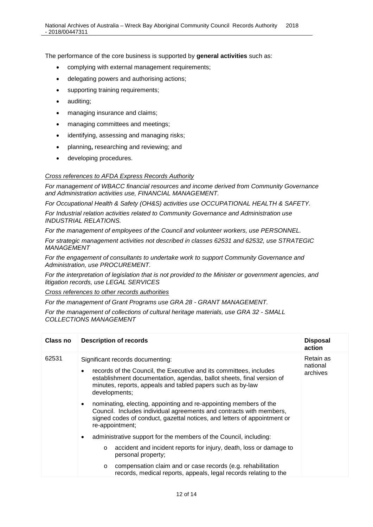The performance of the core business is supported by **general activities** such as:

- complying with external management requirements;
- delegating powers and authorising actions;
- supporting training requirements;
- auditing;
- managing insurance and claims;
- managing committees and meetings;
- identifying, assessing and managing risks;
- planning**,** researching and reviewing; and
- developing procedures.

#### *Cross references to AFDA Express Records Authority*

*For management of WBACC financial resources and income derived from Community Governance and Administration activities use, FINANCIAL MANAGEMENT.*

*For Occupational Health & Safety (OH&S) activities use OCCUPATIONAL HEALTH & SAFETY.*

*For Industrial relation activities related to Community Governance and Administration use INDUSTRIAL RELATIONS.*

*For the management of employees of the Council and volunteer workers, use PERSONNEL.*

*For strategic management activities not described in classes 62531 and 62532, use STRATEGIC MANAGEMENT*

*For the engagement of consultants to undertake work to support Community Governance and Administration, use PROCUREMENT.*

*For the interpretation of legislation that is not provided to the Minister or government agencies, and litigation records, use LEGAL SERVICES*

*Cross references to other records authorities*

*For the management of Grant Programs use GRA 28 - GRANT MANAGEMENT.*

*For the management of collections of cultural heritage materials, use GRA 32 - SMALL COLLECTIONS MANAGEMENT*

| Class no | <b>Description of records</b>                                                                                                                                                                                                                                  | <b>Disposal</b><br>action         |
|----------|----------------------------------------------------------------------------------------------------------------------------------------------------------------------------------------------------------------------------------------------------------------|-----------------------------------|
| 62531    | Significant records documenting:<br>records of the Council, the Executive and its committees, includes<br>establishment documentation, agendas, ballot sheets, final version of<br>minutes, reports, appeals and tabled papers such as by-law<br>developments; | Retain as<br>national<br>archives |
|          | nominating, electing, appointing and re-appointing members of the<br>Council. Includes individual agreements and contracts with members,<br>signed codes of conduct, gazettal notices, and letters of appointment or<br>re-appointment;                        |                                   |
|          | administrative support for the members of the Council, including:                                                                                                                                                                                              |                                   |
|          | accident and incident reports for injury, death, loss or damage to<br>$\circ$<br>personal property;                                                                                                                                                            |                                   |
|          | compensation claim and or case records (e.g. rehabilitation<br>$\circ$<br>records, medical reports, appeals, legal records relating to the                                                                                                                     |                                   |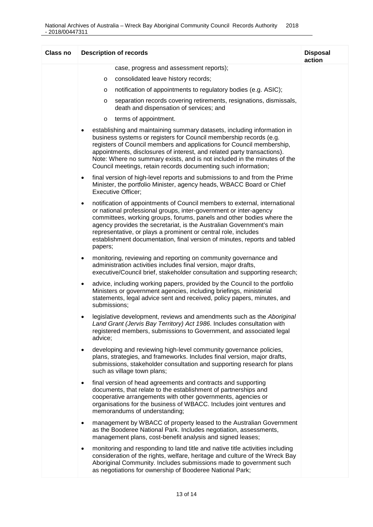| <b>Class no</b> | <b>Description of records</b>                                                                                                                                                                                                                                                                                                                                                                                                                                           | <b>Disposal</b><br>action |
|-----------------|-------------------------------------------------------------------------------------------------------------------------------------------------------------------------------------------------------------------------------------------------------------------------------------------------------------------------------------------------------------------------------------------------------------------------------------------------------------------------|---------------------------|
|                 | case, progress and assessment reports);                                                                                                                                                                                                                                                                                                                                                                                                                                 |                           |
|                 | consolidated leave history records;<br>O                                                                                                                                                                                                                                                                                                                                                                                                                                |                           |
|                 | notification of appointments to regulatory bodies (e.g. ASIC);<br>$\circ$                                                                                                                                                                                                                                                                                                                                                                                               |                           |
|                 | separation records covering retirements, resignations, dismissals,<br>$\circ$<br>death and dispensation of services; and                                                                                                                                                                                                                                                                                                                                                |                           |
|                 | terms of appointment.<br>$\circ$                                                                                                                                                                                                                                                                                                                                                                                                                                        |                           |
|                 | establishing and maintaining summary datasets, including information in<br>business systems or registers for Council membership records (e.g.<br>registers of Council members and applications for Council membership,<br>appointments, disclosures of interest, and related party transactions).<br>Note: Where no summary exists, and is not included in the minutes of the<br>Council meetings, retain records documenting such information;                         |                           |
|                 | final version of high-level reports and submissions to and from the Prime<br>$\bullet$<br>Minister, the portfolio Minister, agency heads, WBACC Board or Chief<br><b>Executive Officer;</b>                                                                                                                                                                                                                                                                             |                           |
|                 | notification of appointments of Council members to external, international<br>$\bullet$<br>or national professional groups, inter-government or inter-agency<br>committees, working groups, forums, panels and other bodies where the<br>agency provides the secretariat, is the Australian Government's main<br>representative, or plays a prominent or central role, includes<br>establishment documentation, final version of minutes, reports and tabled<br>papers; |                           |
|                 | monitoring, reviewing and reporting on community governance and<br>٠<br>administration activities includes final version, major drafts,<br>executive/Council brief, stakeholder consultation and supporting research;                                                                                                                                                                                                                                                   |                           |
|                 | advice, including working papers, provided by the Council to the portfolio<br>٠<br>Ministers or government agencies, including briefings, ministerial<br>statements, legal advice sent and received, policy papers, minutes, and<br>submissions;                                                                                                                                                                                                                        |                           |
|                 | legislative development, reviews and amendments such as the Aboriginal<br>$\bullet$<br>Land Grant (Jervis Bay Territory) Act 1986. Includes consultation with<br>registered members, submissions to Government, and associated legal<br>advice;                                                                                                                                                                                                                         |                           |
|                 | developing and reviewing high-level community governance policies,<br>$\bullet$<br>plans, strategies, and frameworks. Includes final version, major drafts,<br>submissions, stakeholder consultation and supporting research for plans<br>such as village town plans;                                                                                                                                                                                                   |                           |
|                 | final version of head agreements and contracts and supporting<br>$\bullet$<br>documents, that relate to the establishment of partnerships and<br>cooperative arrangements with other governments, agencies or<br>organisations for the business of WBACC. Includes joint ventures and<br>memorandums of understanding;                                                                                                                                                  |                           |
|                 | management by WBACC of property leased to the Australian Government<br>$\bullet$<br>as the Booderee National Park. Includes negotiation, assessments,<br>management plans, cost-benefit analysis and signed leases;                                                                                                                                                                                                                                                     |                           |
|                 | monitoring and responding to land title and native title activities including<br>consideration of the rights, welfare, heritage and culture of the Wreck Bay<br>Aboriginal Community. Includes submissions made to government such<br>as negotiations for ownership of Booderee National Park;                                                                                                                                                                          |                           |